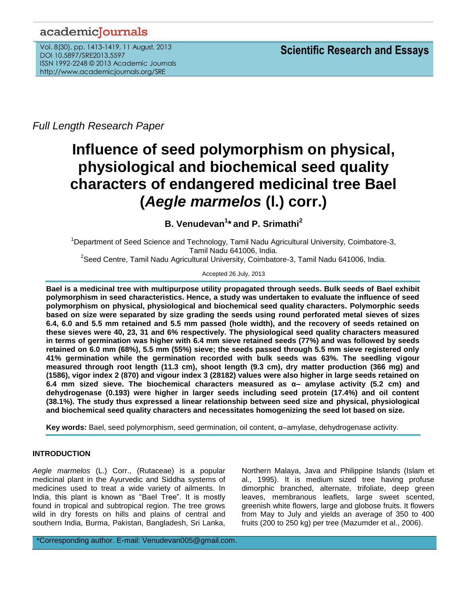# academicJournals

Vol. 8(30), pp. 1413-1419, 11 August, 2013 DOI 10.5897/SRE2013.5597 ISSN 1992-2248 © 2013 Academic Journals http://www.academicjournals.org/SRE

*Full Length Research Paper*

# **Influence of seed polymorphism on physical, physiological and biochemical seed quality characters of endangered medicinal tree Bael (***Aegle marmelos* **(l.) corr.)**

**B. Venudevan<sup>1</sup> \* and P. Srimathi<sup>2</sup>**

<sup>1</sup>Department of Seed Science and Technology, Tamil Nadu Agricultural University, Coimbatore-3, Tamil Nadu 641006, India.  $^{2}$ Seed Centre, Tamil Nadu Agricultural University, Coimbatore-3, Tamil Nadu 641006, India.

Accepted 26 July, 2013

**Bael is a medicinal tree with multipurpose utility propagated through seeds. Bulk seeds of Bael exhibit polymorphism in seed characteristics. Hence, a study was undertaken to evaluate the influence of seed polymorphism on physical, physiological and biochemical seed quality characters. Polymorphic seeds based on size were separated by size grading the seeds using round perforated metal sieves of sizes 6.4, 6.0 and 5.5 mm retained and 5.5 mm passed (hole width), and the recovery of seeds retained on these sieves were 40, 23, 31 and 6% respectively. The physiological seed quality characters measured in terms of germination was higher with 6.4 mm sieve retained seeds (77%) and was followed by seeds retained on 6.0 mm (68%), 5.5 mm (55%) sieve; the seeds passed through 5.5 mm sieve registered only 41% germination while the germination recorded with bulk seeds was 63%. The seedling vigour measured through root length (11.3 cm), shoot length (9.3 cm), dry matter production (366 mg) and (1586), vigor index 2 (870) and vigour index 3 (28182) values were also higher in large seeds retained on 6.4 mm sized sieve. The biochemical characters measured as α– amylase activity (5.2 cm) and dehydrogenase (0.193) were higher in larger seeds including seed protein (17.4%) and oil content (38.1%). The study thus expressed a linear relationship between seed size and physical, physiological and biochemical seed quality characters and necessitates homogenizing the seed lot based on size.**

**Key words:** Bael, seed polymorphism, seed germination, oil content, α–amylase, dehydrogenase activity.

# **INTRODUCTION**

*Aegle marmelos* (L.) Corr., (Rutaceae) is a popular medicinal plant in the Ayurvedic and Siddha systems of medicines used to treat a wide variety of ailments. In India, this plant is known as "Bael Tree". It is mostly found in tropical and subtropical region. The tree grows wild in dry forests on hills and plains of central and southern India, Burma, Pakistan, Bangladesh, Sri Lanka,

Northern Malaya, Java and Philippine Islands (Islam et al., 1995). It is medium sized tree having profuse dimorphic branched, alternate, trifoliate, deep green leaves, membranous leaflets, large sweet scented, greenish white flowers, large and globose fruits. It flowers from May to July and yields an average of 350 to 400 fruits (200 to 250 kg) per tree (Mazumder et al., 2006).

\*Corresponding author. E-mail: Venudevan005@gmail.com.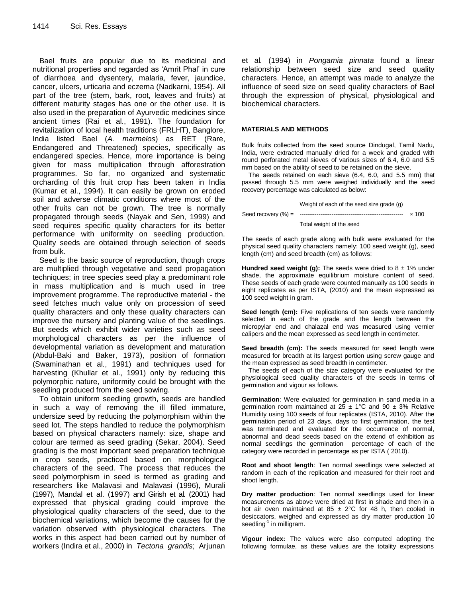Bael fruits are popular due to its medicinal and nutritional properties and regarded as 'Amrit Phal' in cure of diarrhoea and dysentery, malaria, fever, jaundice, cancer, ulcers, urticaria and eczema (Nadkarni, 1954). All part of the tree (stem, bark, root, leaves and fruits) at different maturity stages has one or the other use. It is also used in the preparation of Ayurvedic medicines since ancient times (Rai et al., 1991). The foundation for revitalization of local health traditions (FRLHT), Banglore, India listed Bael (*A. marmelos*) as RET (Rare, Endangered and Threatened) species, specifically as endangered species. Hence, more importance is being given for mass multiplication through afforestration programmes. So far, no organized and systematic orcharding of this fruit crop has been taken in India (Kumar et al., 1994). It can easily be grown on eroded soil and adverse climatic conditions where most of the other fruits can not be grown. The tree is normally propagated through seeds (Nayak and Sen, 1999) and seed requires specific quality characters for its better performance with uniformity on seedling production. Quality seeds are obtained through selection of seeds from bulk.

Seed is the basic source of reproduction, though crops are multiplied through vegetative and seed propagation techniques; in tree species seed play a predominant role in mass multiplication and is much used in tree improvement programme. The reproductive material - the seed fetches much value only on procession of seed quality characters and only these quality characters can improve the nursery and planting value of the seedlings. But seeds which exhibit wider varieties such as seed morphological characters as per the influence of developmental variation as development and maturation (Abdul-Baki and Baker, 1973), position of formation (Swaminathan et al*.*, 1991) and techniques used for harvesting (Khullar et al., 1991) only by reducing this polymorphic nature, uniformity could be brought with the seedling produced from the seed sowing.

To obtain uniform seedling growth, seeds are handled in such a way of removing the ill filled immature, undersize seed by reducing the polymorphism within the seed lot. The steps handled to reduce the polymorphism based on physical characters namely: size, shape and colour are termed as seed grading (Sekar, 2004). Seed grading is the most important seed preparation technique in crop seeds, practiced based on morphological characters of the seed. The process that reduces the seed polymorphism in seed is termed as grading and researchers like Malavasi and Malavasi (1996), Murali (1997), Mandal et al. (1997) and Girish et al*.* (2001) had expressed that physical grading could improve the physiological quality characters of the seed, due to the biochemical variations, which become the causes for the variation observed with physiological characters. The works in this aspect had been carried out by number of workers (Indira et al., 2000) in *Tectona grandis*; Arjunan

et al*.* (1994) in *Pongamia pinnata* found a linear relationship between seed size and seed quality characters. Hence, an attempt was made to analyze the influence of seed size on seed quality characters of Bael through the expression of physical, physiological and biochemical characters.

#### **MATERIALS AND METHODS**

Bulk fruits collected from the seed source Dindugal, Tamil Nadu, India, were extracted manually dried for a week and graded with round perforated metal sieves of various sizes of 6.4, 6.0 and 5.5 mm based on the ability of seed to be retained on the sieve.

The **s**eeds retained on each sieve (6.4, 6.0, and 5.5 mm) that passed through 5.5 mm were weighed individually and the seed recovery percentage was calculated as below:

|                        | Weight of each of the seed size grade (g) |              |
|------------------------|-------------------------------------------|--------------|
| Seed recovery $(\%) =$ |                                           | $\times$ 100 |
|                        | Total weight of the seed                  |              |

The seeds of each grade along with bulk were evaluated for the physical seed quality characters namely: 100 seed weight (g), seed length (cm) and seed breadth (cm) as follows:

**Hundred seed weight (g):** The seeds were dried to  $8 \pm 1\%$  under shade, the approximate equilibrium moisture content of seed. These seeds of each grade were counted manually as 100 seeds in eight replicates as per ISTA, (2010) and the mean expressed as 100 seed weight in gram.

**Seed length (cm):** Five replications of ten seeds were randomly selected in each of the grade and the length between the micropylar end and chalazal end was measured using vernier calipers and the mean expressed as seed length in centimeter.

**Seed breadth (cm):** The seeds measured for seed length were measured for breadth at its largest portion using screw gauge and the mean expressed as seed breadth in centimeter.

The seeds of each of the size category were evaluated for the physiological seed quality characters of the seeds in terms of germination and vigour as follows.

**Germination**: Were evaluated for germination in sand media in a germination room maintained at 25  $\pm$  1°C and 90  $\pm$  3% Relative Humidity using 100 seeds of four replicates (ISTA, 2010). After the germination period of 23 days, days to first germination, the test was terminated and evaluated for the occurrence of normal, abnormal and dead seeds based on the extend of exhibition as normal seedlings the germination percentage of each of the category were recorded in percentage as per ISTA ( 2010).

**Root and shoot length**: Ten normal seedlings were selected at random in each of the replication and measured for their root and shoot length.

**Dry matter production**: Ten normal seedlings used for linear measurements as above were dried at first in shade and then in a hot air oven maintained at 85  $\pm$  2°C for 48 h, then cooled in desiccators, weighed and expressed as dry matter production 10 seedling<sup>-1</sup> in milligram.

**Vigour index:** The values were also computed adopting the following formulae, as these values are the totality expressions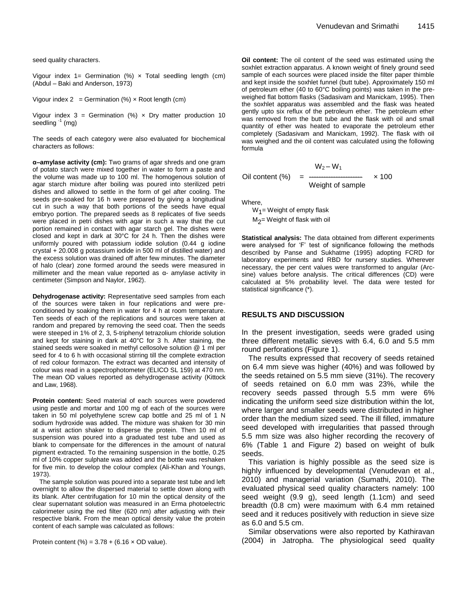seed quality characters.

Vigour index 1= Germination  $(\%) \times$  Total seedling length (cm) (Abdul – Baki and Anderson, 1973)

Vigour index  $2 =$  Germination (%)  $\times$  Root length (cm)

Vigour index  $3 =$  Germination (%)  $\times$  Dry matter production 10 seedling <sup>-1</sup> (mg)

The seeds of each category were also evaluated for biochemical characters as follows:

**α–amylase activity (cm):** Two grams of agar shreds and one gram of potato starch were mixed together in water to form a paste and the volume was made up to 100 ml. The homogenous solution of agar starch mixture after boiling was poured into sterilized petri dishes and allowed to settle in the form of gel after cooling. The seeds pre-soaked for 16 h were prepared by giving a longitudinal cut in such a way that both portions of the seeds have equal embryo portion. The prepared seeds as 8 replicates of five seeds were placed in petri dishes with agar in such a way that the cut portion remained in contact with agar starch gel. The dishes were closed and kept in dark at 30°C for 24 h. Then the dishes were uniformly poured with potassium iodide solution (0.44 g iodine crystal + 20.008 g potassium iodide in 500 ml of distilled water) and the excess solution was drained off after few minutes. The diameter of halo (clear) zone formed around the seeds were measured in millimeter and the mean value reported as α- amylase activity in centimeter (Simpson and Naylor, 1962).

**Dehydrogenase activity:** Representative seed samples from each of the sources were taken in four replications and were preconditioned by soaking them in water for 4 h at room temperature. Ten seeds of each of the replications and sources were taken at random and prepared by removing the seed coat. Then the seeds were steeped in 1% of 2, 3, 5-triphenyl tetrazolium chloride solution and kept for staining in dark at 40°C for 3 h. After staining, the stained seeds were soaked in methyl cellosolve solution @ 1 ml per seed for 4 to 6 h with occasional stirring till the complete extraction of red colour formazon. The extract was decanted and intensity of colour was read in a spectrophotometer (ELICO SL 159) at 470 nm. The mean OD values reported as dehydrogenase activity (Kittock and Law, 1968).

**Protein content:** Seed material of each sources were powdered using pestle and mortar and 100 mg of each of the sources were taken in 50 ml polyethylene screw cap bottle and 25 ml of 1 N sodium hydroxide was added. The mixture was shaken for 30 min at a wrist action shaker to disperse the protein. Then 10 ml of suspension was poured into a graduated test tube and used as blank to compensate for the differences in the amount of natural pigment extracted. To the remaining suspension in the bottle, 0.25 ml of 10% copper sulphate was added and the bottle was reshaken for five min. to develop the colour complex (Ali-Khan and Youngs, 1973).

The sample solution was poured into a separate test tube and left overnight to allow the dispersed material to settle down along with its blank. After centrifugation for 10 min the optical density of the clear supernatant solution was measured in an Erma photoelectric calorimeter using the red filter (620 nm) after adjusting with their respective blank. From the mean optical density value the protein content of each sample was calculated as follows:

Protein content (%) =  $3.78 + (6.16 \times OD$  value).

**Oil content:** The oil content of the seed was estimated using the soxhlet extraction apparatus. A known weight of finely ground seed sample of each sources were placed inside the filter paper thimble and kept inside the soxhlet funnel (butt tube). Approximately 150 ml of petroleum ether (40 to 60°C boiling points) was taken in the preweighed flat bottom flasks (Sadasivam and Manickam, 1995). Then the soxhlet apparatus was assembled and the flask was heated gently upto six reflux of the petroleum ether. The petroleum ether was removed from the butt tube and the flask with oil and small quantity of ether was heated to evaporate the petroleum ether completely (Sadasivam and Manickam, 1992). The flask with oil was weighed and the oil content was calculated using the following formula

$$
W_2-W_1
$$
  
Oil content (%) = 100  
Weight of sample

Where,

W<sub>1</sub>= Weight of empty flask  $\mathsf{M}_2^{\mathsf{}}$ = Weight of flask with oil

**Statistical analysis:** The data obtained from different experiments were analysed for 'F' test of significance following the methods described by Panse and Sukhatme (1995) adopting FCRD for laboratory experiments and RBD for nursery studies. Wherever necessary, the per cent values were transformed to angular (Arcsine) values before analysis. The critical differences (CD) were calculated at 5% probability level. The data were tested for statistical significance (\*).

#### **RESULTS AND DISCUSSION**

In the present investigation, seeds were graded using three different metallic sieves with 6.4, 6.0 and 5.5 mm round perforations (Figure 1).

The results expressed that recovery of seeds retained on 6.4 mm sieve was higher (40%) and was followed by the seeds retained on 5.5 mm sieve (31%). The recovery of seeds retained on 6.0 mm was 23%, while the recovery seeds passed through 5.5 mm were 6% indicating the uniform seed size distribution within the lot, where larger and smaller seeds were distributed in higher order than the medium sized seed. The ill filled, immature seed developed with irregularities that passed through 5.5 mm size was also higher recording the recovery of 6% (Table 1 and Figure 2) based on weight of bulk seeds.

This variation is highly possible as the seed size is highly influenced by developmental (Venudevan et al., 2010) and managerial variation (Sumathi, 2010). The evaluated physical seed quality characters namely: 100 seed weight (9.9 g), seed length (1.1cm) and seed breadth (0.8 cm) were maximum with 6.4 mm retained seed and it reduces positively with reduction in sieve size as 6.0 and 5.5 cm.

Similar observations were also reported by Kathiravan (2004) in Jatropha. The physiological seed quality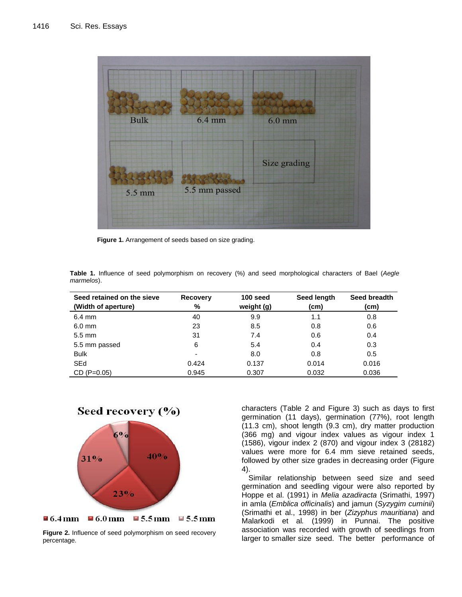

**Figure 1.** Arrangement of seeds based on size grading.

|            |  |  |  |  |  | Table 1. Influence of seed polymorphism on recovery (%) and seed morphological characters of Bael (Aegle |  |  |  |
|------------|--|--|--|--|--|----------------------------------------------------------------------------------------------------------|--|--|--|
| marmelos). |  |  |  |  |  |                                                                                                          |  |  |  |

| Seed retained on the sieve<br>(Width of aperture) | <b>Recovery</b><br>%     | 100 seed<br>weight (g) | Seed length<br>(cm) | Seed breadth<br>(cm) |
|---------------------------------------------------|--------------------------|------------------------|---------------------|----------------------|
| $6.4 \text{ mm}$                                  | 40                       | 9.9                    | 1.1                 | 0.8                  |
| $6.0$ mm                                          | 23                       | 8.5                    | 0.8                 | 0.6                  |
| $5.5 \text{ mm}$                                  | 31                       | 7.4                    | 0.6                 | 0.4                  |
| 5.5 mm passed                                     | 6                        | 5.4                    | 0.4                 | 0.3                  |
| <b>Bulk</b>                                       | $\overline{\phantom{0}}$ | 8.0                    | 0.8                 | 0.5                  |
| SEd                                               | 0.424                    | 0.137                  | 0.014               | 0.016                |
| $CD (P=0.05)$                                     | 0.945                    | 0.307                  | 0.032               | 0.036                |

Seed recovery (%)



■6.4mm ■6.0mm ■5.5mm ■5.5mm

**Figure 2.** Influence of seed polymorphism on seed recovery percentage.

characters (Table 2 and Figure 3) such as days to first germination (11 days), germination (77%), root length (11.3 cm), shoot length (9.3 cm), dry matter production (366 mg) and vigour index values as vigour index 1 (1586), vigour index 2 (870) and vigour index 3 (28182) values were more for 6.4 mm sieve retained seeds, followed by other size grades in decreasing order (Figure 4).

Similar relationship between seed size and seed germination and seedling vigour were also reported by Hoppe et al. (1991) in *Melia azadiracta* (Srimathi, 1997) in amla (*Emblica officinalis*) and jamun (*Syzygim cuminii*) (Srimathi et al., 1998) in ber (*Zizyphus mauritiana*) and Malarkodi et al*.* (1999) in Punnai. The positive association was recorded with growth of seedlings from larger to smaller size seed. The better performance of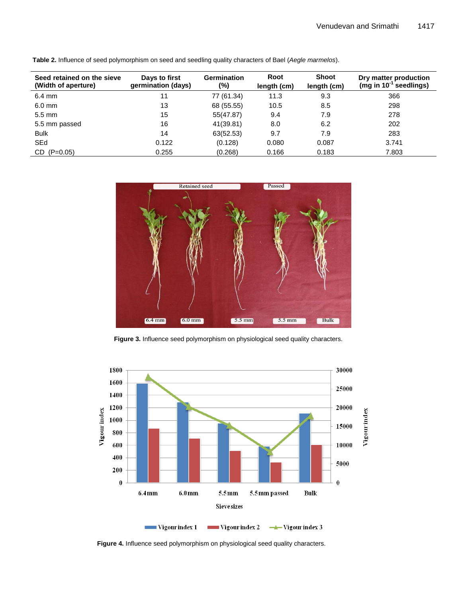| Seed retained on the sieve<br>(Width of aperture) | Days to first<br>germination (days) | <b>Germination</b><br>(%) | Root<br>length (cm) | Shoot<br>length (cm) | Dry matter production<br>(mg in $10^{-1}$ seedlings) |
|---------------------------------------------------|-------------------------------------|---------------------------|---------------------|----------------------|------------------------------------------------------|
| $6.4 \text{ mm}$                                  | 11                                  | 77 (61.34)                | 11.3                | 9.3                  | 366                                                  |
| $6.0 \text{ mm}$                                  | 13                                  | 68 (55.55)                | 10.5                | 8.5                  | 298                                                  |
| $5.5 \text{ mm}$                                  | 15                                  | 55(47.87)                 | 9.4                 | 7.9                  | 278                                                  |
| 5.5 mm passed                                     | 16                                  | 41(39.81)                 | 8.0                 | 6.2                  | 202                                                  |
| <b>Bulk</b>                                       | 14                                  | 63(52.53)                 | 9.7                 | 7.9                  | 283                                                  |
| <b>SEd</b>                                        | 0.122                               | (0.128)                   | 0.080               | 0.087                | 3.741                                                |
| $CD (P=0.05)$                                     | 0.255                               | (0.268)                   | 0.166               | 0.183                | 7.803                                                |

**Table 2.** Influence of seed polymorphism on seed and seedling quality characters of Bael (*Aegle marmelos*).



**Figure 3.** Influence seed polymorphism on physiological seed quality characters.



**Figure 4.** Influence seed polymorphism on physiological seed quality characters.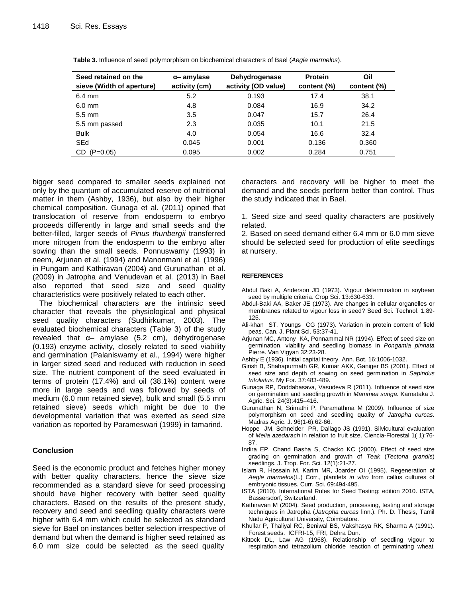| Seed retained on the<br>sieve (Width of aperture) | $\alpha$ – amylase<br>activity (cm) | Dehydrogenase<br>activity (OD value) | <b>Protein</b><br>content (%) | Oil<br>content (%) |  |
|---------------------------------------------------|-------------------------------------|--------------------------------------|-------------------------------|--------------------|--|
|                                                   |                                     |                                      |                               |                    |  |
| $6.4 \text{ mm}$                                  | 5.2                                 | 0.193                                | 17.4                          | 38.1               |  |
| $6.0$ mm                                          | 4.8                                 | 0.084                                | 16.9                          | 34.2               |  |
| $5.5 \text{ mm}$                                  | 3.5                                 | 0.047                                | 15.7                          | 26.4               |  |
| 5.5 mm passed                                     | 2.3                                 | 0.035                                | 10.1                          | 21.5               |  |
| <b>Bulk</b>                                       | 4.0                                 | 0.054                                | 16.6                          | 32.4               |  |
| SEd                                               | 0.045                               | 0.001                                | 0.136                         | 0.360              |  |
| $(P=0.05)$<br>CD.                                 | 0.095                               | 0.002                                | 0.284                         | 0.751              |  |

**Table 3.** Influence of seed polymorphism on biochemical characters of Bael (*Aegle marmelos*).

bigger seed compared to smaller seeds explained not only by the quantum of accumulated reserve of nutritional matter in them (Ashby, 1936), but also by their higher chemical composition. Gunaga et al. (2011) opined that translocation of reserve from endosperm to embryo proceeds differently in large and small seeds and the better-filled, larger seeds of *Pinus thunbergii* transferred more nitrogen from the endosperm to the embryo after sowing than the small seeds. Ponnuswamy (1993) in neem, Arjunan et al. (1994) and Manonmani et al. (1996) in Pungam and Kathiravan (2004) and Gurunathan et al. (2009) in Jatropha and Venudevan et al. (2013) in Bael also reported that seed size and seed quality characteristics were positively related to each other.

The biochemical characters are the intrinsic seed character that reveals the physiological and physical seed quality characters (Sudhirkumar, 2003). The evaluated biochemical characters (Table 3) of the study revealed that  $\alpha$ – amylase (5.2 cm), dehydrogenase (0.193) enzyme activity, closely related to seed viability and germination (Palaniswamy et al., 1994) were higher in larger sized seed and reduced with reduction in seed size. The nutrient component of the seed evaluated in terms of protein (17.4%) and oil (38.1%) content were more in large seeds and was followed by seeds of medium (6.0 mm retained sieve), bulk and small (5.5 mm retained sieve) seeds which might be due to the developmental variation that was exerted as seed size variation as reported by Parameswari (1999) in tamarind.

## **Conclusion**

Seed is the economic product and fetches higher money with better quality characters, hence the sieve size recommended as a standard sieve for seed processing should have higher recovery with better seed quality characters. Based on the results of the present study, recovery and seed and seedling quality characters were higher with 6.4 mm which could be selected as standard sieve for Bael on instances better selection irrespective of demand but when the demand is higher seed retained as 6.0 mm size could be selected as the seed quality

characters and recovery will be higher to meet the demand and the seeds perform better than control. Thus the study indicated that in Bael.

1. Seed size and seed quality characters are positively related.

2. Based on seed demand either 6.4 mm or 6.0 mm sieve should be selected seed for production of elite seedlings at nursery.

### **REFERENCES**

- Abdul Baki A, Anderson JD (1973). Vigour determination in soybean seed by multiple criteria. Crop Sci. 13:630-633.
- Abdul-Baki AA, Baker JE (1973). Are changes in cellular organelles or membranes related to vigour loss in seed? Seed Sci. Technol. 1:89- 125.
- Ali-khan ST, Youngs CG (1973). Variation in protein content of field peas. Can. J. [Plant Sci.](http://www.google.co.in/url?q=http://pubs.aic.ca/journal/cjps&sa=U&ei=CJy-Ub6qO8S3rAf4sIDYCw&ved=0CBoQFjAA&usg=AFQjCNE9vr9xedSybS4LqrxJgE7oxfhLfw) 53:37-41.
- Arjunan MC, Antony KA, Ponnammal NR (1994). Effect of seed size on germination, viability and seedling biomass in *Pongamia pinnata*  Pierre. Van Vigyan 32:23-28.
- Ashby E (1936). Initial capital theory. [Ann.](http://www.google.co.in/url?q=http://www.oxfordjournals.org/page/3316/2&sa=U&ei=hJy-UZGrIMmMrQeAjoHwBg&ved=0CCQQFjAD&usg=AFQjCNERQ7URVG9XboNKDwAhJtFobHsCrQ) Bot. 16:1006-1032.
- Girish B, Shahapurmath GR, Kumar AKK, Ganiger BS (2001). Effect of seed size and depth of sowing on seed germination in *Sapindus trifoliatus.* My For. 37:483-489.
- Gunaga RP, Doddabasava, Vasudeva R (2011). Influence of seed size on germination and seedling growth in *Mammea suriga.* Karnataka J. Agric. Sci. 24(3):415–416.
- Gurunathan N, Srimathi P, Paramathma M (2009). Influence of size polymorphism on seed and seedling quality of *Jatropha curcas.*  Madras Agric. J. 96(1-6):62-66.
- Hoppe JM, Schneider PR, Dallago JS (1991). Silvicultural evaluation of *Melia azedarach* in relation to fruit size. Ciencia-Florestal 1( 1):76- 87.
- Indira EP, Chand Basha S, Chacko KC (2000). Effect of seed size grading on germination and growth of *Teak* (*Tectona grandis*) seedlings. J. Trop. For. Sci. 12(1):21-27.
- Islam R, Hossain M, Karim MR, Joarder OI (1995). Regeneration of *Aegle marmelos*(L.) Corr., plantlets *in vitro* from callus cultures of embryonic tissues. Curr. Sci. 69:494-495.
- ISTA (2010). International Rules for Seed Testing: edition 2010. ISTA, Bassersdorf, Switzerland.
- Kathiravan M (2004). Seed production, processing, testing and storage techniques in Jatropha (*Jatropha curcas* linn.). Ph. D. Thesis, Tamil Nadu Agricultural University, Coimbatore.
- Khullar P, Thaliyal RC, Beniwal BS, Vakshasya RK, Sharma A (1991). Forest seeds. ICFRI-15, FRI, Dehra Dun.
- Kittock DL, Law AG (1968). Relationship of seedling vigour to respiration and tetrazolium chloride reaction of germinating wheat